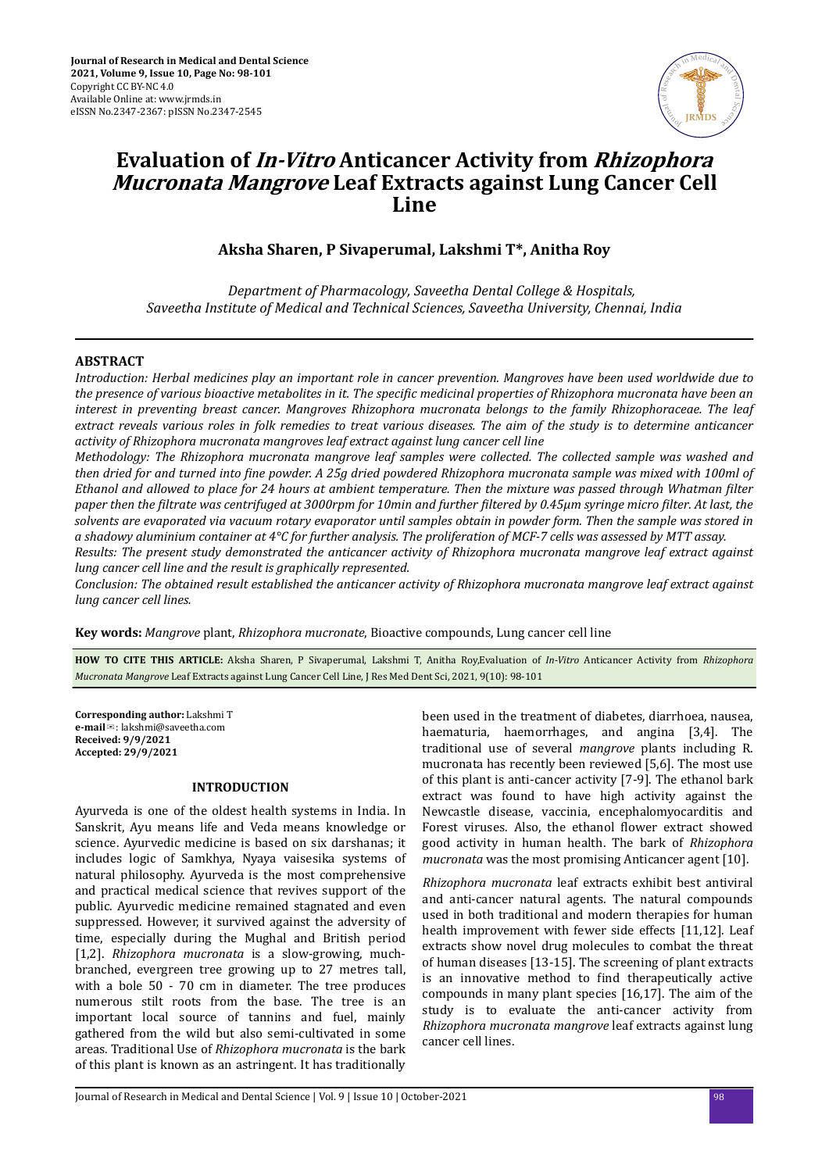

# **Evaluation of In-Vitro Anticancer Activity from Rhizophora Mucronata Mangrove Leaf Extracts against Lung Cancer Cell Line**

# **Aksha Sharen, P Sivaperumal, Lakshmi T\*, Anitha Roy**

*Department of Pharmacology, Saveetha Dental College & Hospitals, Saveetha Institute of Medical and Technical Sciences, Saveetha University, Chennai, India*

#### **ABSTRACT**

*Introduction: Herbal medicines play an important role in cancer prevention. Mangroves have been used worldwide due to the presence of various bioactive metabolites in it. The specific medicinal properties of Rhizophora mucronata have been an interest in preventing breast cancer. Mangroves Rhizophora mucronata belongs to the family Rhizophoraceae. The leaf extract reveals various roles in folk remedies to treat various diseases. The aim of the study is to determine anticancer activity of Rhizophora mucronata mangroves leaf extract against lung cancer cell line*

*Methodology: The Rhizophora mucronata mangrove leaf samples were collected. The collected sample was washed and then dried for and turned into ϔe powder. A 25g dried powdered Rhizophora mucronata sample was mixed with 100ml of Ethanol and allowed to place for 24 hours at ambient temperature. Then the mixture was passed through Whatman filter paper then the ϔtrte was centrifuged at 3000rpm for 10min and further ϔtered by 0.45μm syringe micro ϔterǤ At last, the solvents are evaporated via vacuum rotary evaporator until samples obtain in powder form. Then the sample was stored in a shadowy aluminium container at 4°C for further analysis. The proliferation of MCF-7 cells was assessed by MTT assay.*

*Results: The present study demonstrated the anticancer activity of Rhizophora mucronata mangrove leaf extract against lung cancer cell line and the result is graphically represented.*

*Conclusion: The obtained result established the anticancer activity of Rhizophora mucronata mangrove leaf extract against lung cancer cell lines.*

**Key words:** *Mangrove* plant, *Rhizophora mucronate*, Bioactive compounds, Lung cancer cell line

**HOW TO CITE THIS ARTICLE:** Aksha Sharen, P Sivaperumal, Lakshmi T, Anitha Roy,Evaluation of *In-Vitro* Anticancer Activity from *Rhizophora Mucronata Mangrove* Leaf Extracts against Lung Cancer Cell Line, J Res Med Dent Sci, 2021, 9(10): 98-101

**Corresponding author:** Lakshmi T **e-mail**✉: lakshmi@saveetha.com **Received: 9/9/2021 Accepted: 29/9/2021** 

#### **INTRODUCTION**

Ayurveda is one of the oldest health systems in India. In Sanskrit, Ayu means life and Veda means knowledge or science. Ayurvedic medicine is based on six darshanas; it includes logic of Samkhya, Nyaya vaisesika systems of natural philosophy. Ayurveda is the most comprehensive and practical medical science that revives support of the public. Ayurvedic medicine remained stagnated and even suppressed. However, it survived against the adversity of time, especially during the Mughal and British period [1,2]. *Rhizophora mucronata* is a slow-growing, muchbranched, evergreen tree growing up to 27 metres tall, with a bole 50 - 70 cm in diameter. The tree produces numerous stilt roots from the base. The tree is an important local source of tannins and fuel, mainly gathered from the wild but also semi-cultivated in some areas. Traditional Use of *Rhizophora mucronata* is the bark of this plant is known as an astringent. It has traditionally

been used in the treatment of diabetes, diarrhoea, nausea, haematuria, haemorrhages, and angina [3,4]. The traditional use of several *mangrove* plants including R. mucronata has recently been reviewed [5,6]. The most use of this plant is anti-cancer activity [7-9]. The ethanol bark extract was found to have high activity against the Newcastle disease, vaccinia, encephalomyocarditis and Forest viruses. Also, the ethanol flower extract showed good activity in human health. The bark of *Rhizophora mucronata* was the most promising Anticancer agent [10].

*Rhizophora mucronata* leaf extracts exhibit best antiviral and anti-cancer natural agents. The natural compounds used in both traditional and modern therapies for human health improvement with fewer side effects [11,12]. Leaf extracts show novel drug molecules to combat the threat of human diseases [13-15]. The screening of plant extracts is an innovative method to find therapeutically active compounds in many plant species [16,17]. The aim of the study is to evaluate the anti-cancer activity from *Rhizophora mucronata mangrove* leaf extracts against lung cancer cell lines.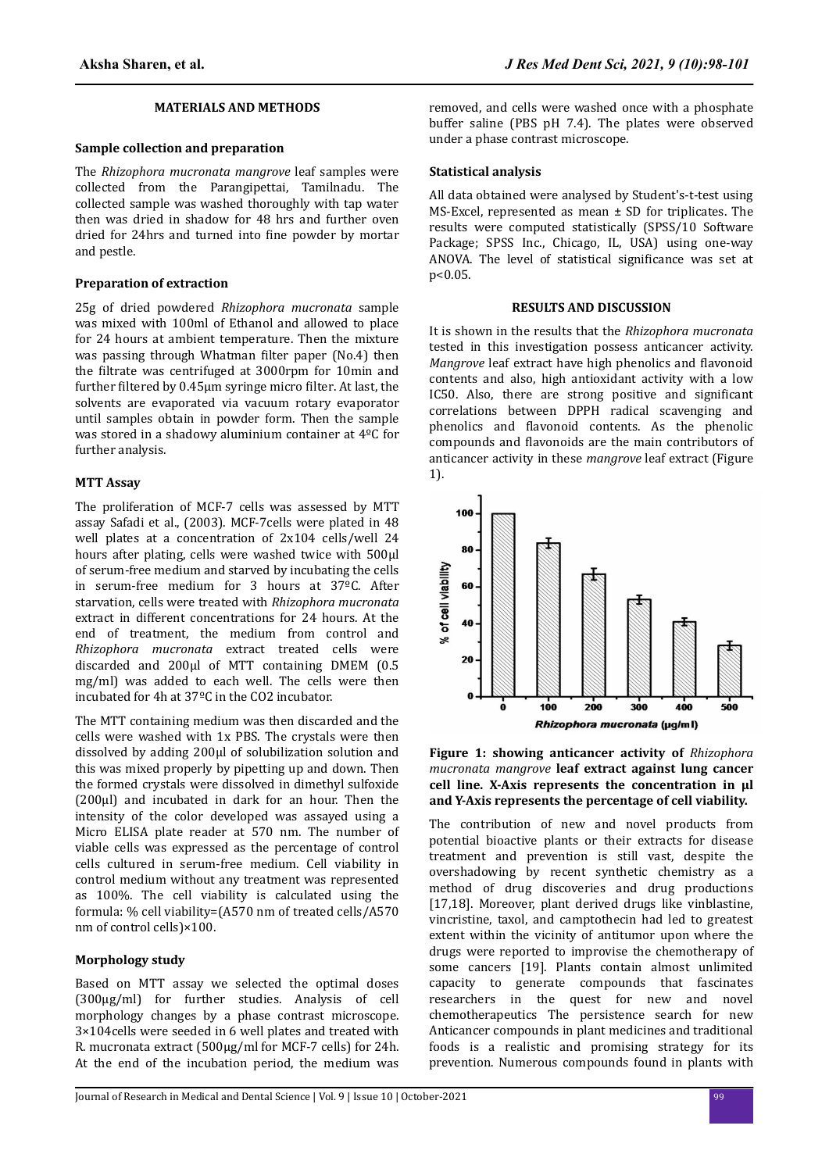#### **MATERIALS AND METHODS**

#### **Sample collection and preparation**

The *Rhizophora mucronata mangrove* leaf samples were collected from the Parangipettai, Tamilnadu. The collected sample was washed thoroughly with tap water then was dried in shadow for 48 hrs and further oven dried for 24hrs and turned into fine powder by mortar and pestle.

#### **Preparation of extraction**

25g of dried powdered *Rhizophora mucronata* sample was mixed with 100ml of Ethanol and allowed to place for 24 hours at ambient temperature. Then the mixture was passing through Whatman filter paper (No.4) then the filtrate was centrifuged at 3000rpm for 10min and further filtered by 0.45µm syringe micro filter. At last, the solvents are evaporated via vacuum rotary evaporator until samples obtain in powder form. Then the sample was stored in a shadowy aluminium container at 4ºC for further analysis.

#### **MTT Assay**

The proliferation of MCF-7 cells was assessed by MTT assay Safadi et al., (2003). MCF-7cells were plated in 48 well plates at a concentration of 2x104 cells/well 24 hours after plating, cells were washed twice with 500μl of serum-free medium and starved by incubating the cells in serum-free medium for 3 hours at 37ºC. After starvation, cells were treated with *Rhizophora mucronata* extract in different concentrations for 24 hours. At the end of treatment, the medium from control and *Rhizophora mucronata* extract treated cells were discarded and 200μl of MTT containing DMEM (0.5 mg/ml) was added to each well. The cells were then incubated for 4h at 37ºC in the CO2 incubator.

The MTT containing medium was then discarded and the cells were washed with 1x PBS. The crystals were then dissolved by adding 200μl of solubilization solution and this was mixed properly by pipetting up and down. Then the formed crystals were dissolved in dimethyl sulfoxide (200μl) and incubated in dark for an hour. Then the intensity of the color developed was assayed using a Micro ELISA plate reader at 570 nm. The number of viable cells was expressed as the percentage of control cells cultured in serum-free medium. Cell viability in control medium without any treatment was represented as 100%. The cell viability is calculated using the formula: % cell viability=(A570 nm of treated cells/A570 nm of control cells)×100.

#### **Morphology study**

Based on MTT assay we selected the optimal doses (300µg/ml) for further studies. Analysis of cell morphology changes by a phase contrast microscope. 3×104cells were seeded in 6 well plates and treated with R. mucronata extract (500µg/ml for MCF-7 cells) for 24h. At the end of the incubation period, the medium was removed, and cells were washed once with a phosphate buffer saline (PBS pH 7.4). The plates were observed under a phase contrast microscope.

#### **Statistical analysis**

All data obtained were analysed by Student's-t-test using MS-Excel, represented as mean ± SD for triplicates. The results were computed statistically (SPSS/10 Software Package; SPSS Inc., Chicago, IL, USA) using one-way ANOVA. The level of statistical significance was set at p<0.05.

#### **RESULTS AND DISCUSSION**

It is shown in the results that the *Rhizophora mucronata* tested in this investigation possess anticancer activity. *Mangrove* leaf extract have high phenolics and flavonoid contents and also, high antioxidant activity with a low IC50. Also, there are strong positive and significant correlations between DPPH radical scavenging and phenolics and flavonoid contents. As the phenolic compounds and flavonoids are the main contributors of anticancer activity in these *mangrove* leaf extract (Figure 1).



**Figure 1: showing anticancer activity of** *Rhizophora mucronata mangrove* **leaf extract against lung cancer cell line. X-Axis represents the concentration in μl and Y-Axis represents the percentage of cell viability.**

The contribution of new and novel products from potential bioactive plants or their extracts for disease treatment and prevention is still vast, despite the overshadowing by recent synthetic chemistry as a method of drug discoveries and drug productions [17,18]. Moreover, plant derived drugs like vinblastine, vincristine, taxol, and camptothecin had led to greatest extent within the vicinity of antitumor upon where the drugs were reported to improvise the chemotherapy of some cancers [19]. Plants contain almost unlimited capacity to generate compounds that fascinates researchers in the quest for new and novel chemotherapeutics The persistence search for new Anticancer compounds in plant medicines and traditional foods is a realistic and promising strategy for its prevention. Numerous compounds found in plants with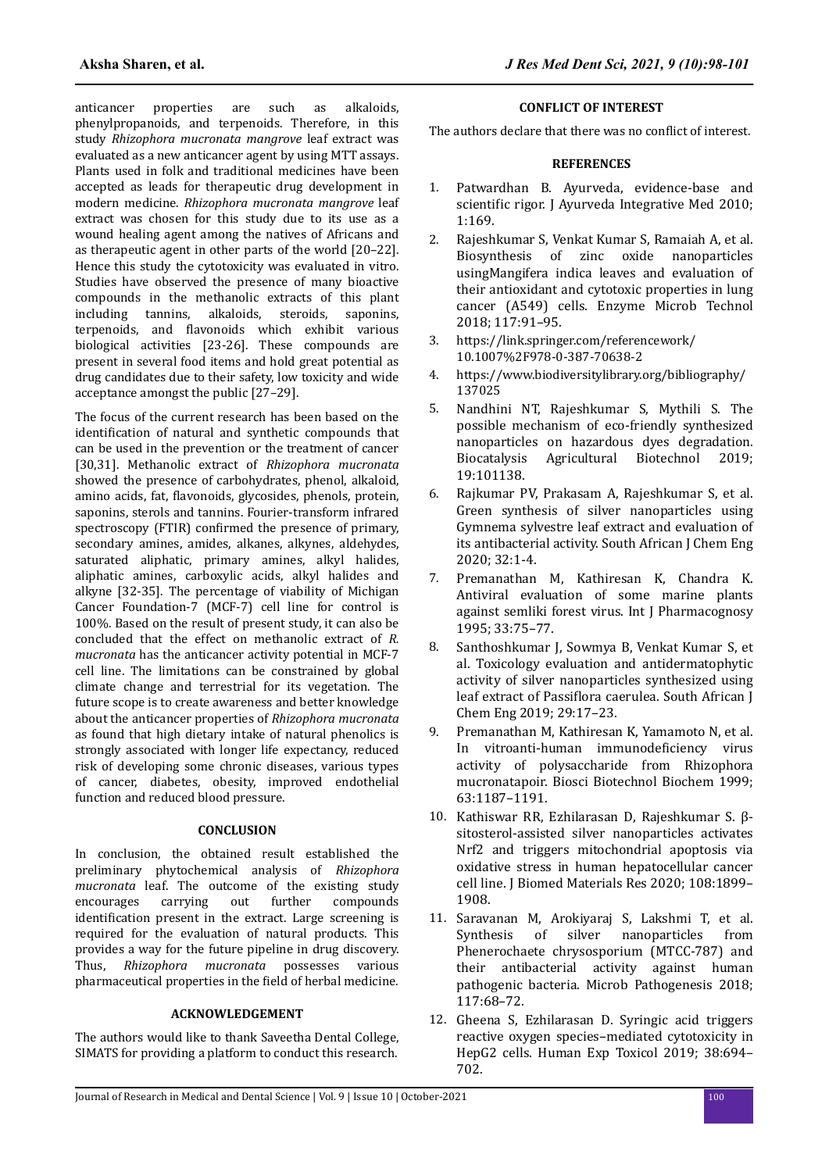anticancer properties are such as alkaloids, phenylpropanoids, and terpenoids. Therefore, in this study *Rhizophora mucronata mangrove* leaf extract was evaluated as a new anticancer agent by using MTT assays. Plants used in folk and traditional medicines have been accepted as leads for therapeutic drug development in modern medicine. *Rhizophora mucronata mangrove* leaf extract was chosen for this study due to its use as a wound healing agent among the natives of Africans and as therapeutic agent in other parts of the world [20–22]. Hence this study the cytotoxicity was evaluated in vitro. Studies have observed the presence of many bioactive compounds in the methanolic extracts of this plant including tannins, alkaloids, steroids, saponins, terpenoids, and flavonoids which exhibit various biological activities [23-26]. These compounds are present in several food items and hold great potential as drug candidates due to their safety, low toxicity and wide acceptance amongst the public [27–29].

The focus of the current research has been based on the identification of natural and synthetic compounds that can be used in the prevention or the treatment of cancer [30,31]. Methanolic extract of *Rhizophora mucronata* showed the presence of carbohydrates, phenol, alkaloid, amino acids, fat, flavonoids, glycosides, phenols, protein, saponins, sterols and tannins. Fourier-transform infrared spectroscopy (FTIR) confirmed the presence of primary. secondary amines, amides, alkanes, alkynes, aldehydes, saturated aliphatic, primary amines, alkyl halides, aliphatic amines, carboxylic acids, alkyl halides and alkyne [32-35]. The percentage of viability of Michigan Cancer Foundation-7 (MCF-7) cell line for control is 100%. Based on the result of present study, it can also be concluded that the effect on methanolic extract of *R. mucronata* has the anticancer activity potential in MCF-7 cell line. The limitations can be constrained by global climate change and terrestrial for its vegetation. The future scope is to create awareness and better knowledge about the anticancer properties of *Rhizophora mucronata* as found that high dietary intake of natural phenolics is strongly associated with longer life expectancy, reduced risk of developing some chronic diseases, various types of cancer, diabetes, obesity, improved endothelial function and reduced blood pressure.

# **CONCLUSION**

In conclusion, the obtained result established the preliminary phytochemical analysis of *Rhizophora mucronata* leaf. The outcome of the existing study encourages carrying out further compounds identification present in the extract. Large screening is required for the evaluation of natural products. This provides a way for the future pipeline in drug discovery. Thus, *Rhizophora mucronata* possesses various pharmaceutical properties in the field of herbal medicine.

# **ACKNOWLEDGEMENT**

The authors would like to thank Saveetha Dental College, SIMATS for providing a platform to conduct this research.

#### **CONFLICT OF INTEREST**

The authors declare that there was no conflict of interest.

### **REFERENCES**

- 1. [Patwardhan B. Ayurveda, evidence-base and](https://dx.doi.org/10.4103%2F0975-9476.72605) scientific [rigor. J Ayurveda Integrative Med 2010;](https://dx.doi.org/10.4103%2F0975-9476.72605) [1:169.](https://dx.doi.org/10.4103%2F0975-9476.72605)
- 2. [Rajeshkumar S, Venkat Kumar S, Ramaiah A, et al.](https://doi.org/10.1016/j.enzmictec.2018.06.009) [Biosynthesis of zinc oxide nanoparticles](https://doi.org/10.1016/j.enzmictec.2018.06.009) [usingMangifera indica leaves and evaluation of](https://doi.org/10.1016/j.enzmictec.2018.06.009) [their antioxidant and cytotoxic properties in lung](https://doi.org/10.1016/j.enzmictec.2018.06.009) [cancer \(A549\) cells. Enzyme Microb Technol](https://doi.org/10.1016/j.enzmictec.2018.06.009) [2018; 117:91–95.](https://doi.org/10.1016/j.enzmictec.2018.06.009)
- 3. https://link.springer.com/referencework/ 10.1007%2F978-0-387-70638-2
- 4. https://www.biodiversitylibrary.org/bibliography/ 137025
- 5. [Nandhini NT, Rajeshkumar S, Mythili S. The](https://doi.org/10.1016/j.bcab.2019.101138) [possible mechanism of eco-friendly synthesized](https://doi.org/10.1016/j.bcab.2019.101138) [nanoparticles on hazardous dyes degradation.](https://doi.org/10.1016/j.bcab.2019.101138) [Biocatalysis Agricultural Biotechnol 2019;](https://doi.org/10.1016/j.bcab.2019.101138) [19:101138.](https://doi.org/10.1016/j.bcab.2019.101138)
- 6. [Rajkumar PV, Prakasam A, Rajeshkumar S, et al.](https://doi.org/10.1016/j.sajce.2019.11.005) [Green synthesis of silver nanoparticles using](https://doi.org/10.1016/j.sajce.2019.11.005) [Gymnema sylvestre leaf extract and evaluation of](https://doi.org/10.1016/j.sajce.2019.11.005) [its antibacterial activity. South African J Chem Eng](https://doi.org/10.1016/j.sajce.2019.11.005) [2020; 32:1-4.](https://doi.org/10.1016/j.sajce.2019.11.005)
- 7. [Premanathan M, Kathiresan K, Chandra K.](https://doi.org/10.3109/13880209509088153) [Antiviral evaluation of some marine plants](https://doi.org/10.3109/13880209509088153) [against semliki forest virus. Int J Pharmacognosy](https://doi.org/10.3109/13880209509088153) [1995; 33:75–77.](https://doi.org/10.3109/13880209509088153)
- 8. [Santhoshkumar J, Sowmya B, Venkat Kumar S, et](https://doi.org/10.1016/j.sajce.2019.04.001) [al. Toxicology evaluation and antidermatophytic](https://doi.org/10.1016/j.sajce.2019.04.001) [activity of silver nanoparticles synthesized using](https://doi.org/10.1016/j.sajce.2019.04.001) leaf extract of Passiflora [caerulea. South African J](https://doi.org/10.1016/j.sajce.2019.04.001) [Chem Eng 2019; 29:17–23.](https://doi.org/10.1016/j.sajce.2019.04.001)
- 9. [Premanathan M, Kathiresan K, Yamamoto N, et al.](https://doi.org/10.1271/bbb.63.1187) [In vitroanti-human](https://doi.org/10.1271/bbb.63.1187) immunodeficiency virus [activity of polysaccharide from Rhizophora](https://doi.org/10.1271/bbb.63.1187) [mucronatapoir. Biosci Biotechnol Biochem 1999;](https://doi.org/10.1271/bbb.63.1187) [63:1187–1191.](https://doi.org/10.1271/bbb.63.1187)
- 10. [Kathiswar RR, Ezhilarasan D, Rajeshkumar S. β](https://doi.org/10.1002/jbm.a.36953)[sitosterol-assisted silver nanoparticles activates](https://doi.org/10.1002/jbm.a.36953) [Nrf2 and triggers mitochondrial apoptosis via](https://doi.org/10.1002/jbm.a.36953) [oxidative stress in human hepatocellular cancer](https://doi.org/10.1002/jbm.a.36953) [cell line. J Biomed Materials Res 2020; 108:1899–](https://doi.org/10.1002/jbm.a.36953) [1908.](https://doi.org/10.1002/jbm.a.36953)
- 11. [Saravanan M, Arokiyaraj S, Lakshmi T, et al.](https://doi.org/10.1016/j.micpath.2018.02.008) [Synthesis of silver nanoparticles from](https://doi.org/10.1016/j.micpath.2018.02.008) [Phenerochaete chrysosporium \(MTCC-787\) and](https://doi.org/10.1016/j.micpath.2018.02.008) [their antibacterial activity against human](https://doi.org/10.1016/j.micpath.2018.02.008) [pathogenic bacteria. Microb Pathogenesis 2018;](https://doi.org/10.1016/j.micpath.2018.02.008) [117:68–72.](https://doi.org/10.1016/j.micpath.2018.02.008)
- 12. [Gheena S, Ezhilarasan D. Syringic acid triggers](https://doi.org/10.1177/0960327119839173) [reactive oxygen species–mediated cytotoxicity in](https://doi.org/10.1177/0960327119839173) [HepG2 cells. Human Exp Toxicol 2019; 38:694–](https://doi.org/10.1177/0960327119839173) [702.](https://doi.org/10.1177/0960327119839173)